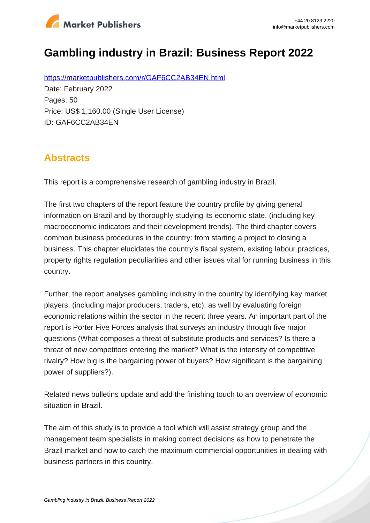

# **Gambling industry in Brazil: Business Report 2022**

https://marketpublishers.com/r/GAF6CC2AB34EN.html Date: February 2022 Pages: 50 Price: US\$ 1,160.00 (Single User License) ID: GAF6CC2AB34EN

### **Abstracts**

This report is a comprehensive research of gambling industry in Brazil.

The first two chapters of the report feature the country profile by giving general information on Brazil and by thoroughly studying its economic state, (including key macroeconomic indicators and their development trends). The third chapter covers common business procedures in the country: from starting a project to closing a business. This chapter elucidates the country's fiscal system, existing labour practices, property rights regulation peculiarities and other issues vital for running business in this country.

Further, the report analyses gambling industry in the country by identifying key market players, (including major producers, traders, etc), as well by evaluating foreign economic relations within the sector in the recent three years. An important part of the report is Porter Five Forces analysis that surveys an industry through five major questions (What composes a threat of substitute products and services? Is there a threat of new competitors entering the market? What is the intensity of competitive rivalry? How big is the bargaining power of buyers? How significant is the bargaining power of suppliers?).

Related news bulletins update and add the finishing touch to an overview of economic situation in Brazil.

The aim of this study is to provide a tool which will assist strategy group and the management team specialists in making correct decisions as how to penetrate the Brazil market and how to catch the maximum commercial opportunities in dealing with business partners in this country.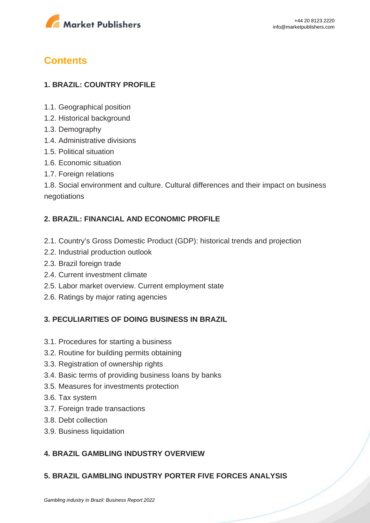

## **Contents**

#### **1. BRAZIL: COUNTRY PROFILE**

- 1.1. Geographical position
- 1.2. Historical background
- 1.3. Demography
- 1.4. Administrative divisions
- 1.5. Political situation
- 1.6. Economic situation
- 1.7. Foreign relations

1.8. Social environment and culture. Cultural differences and their impact on business negotiations

#### **2. BRAZIL: FINANCIAL AND ECONOMIC PROFILE**

- 2.1. Country's Gross Domestic Product (GDP): historical trends and projection
- 2.2. Industrial production outlook
- 2.3. Brazil foreign trade
- 2.4. Current investment climate
- 2.5. Labor market overview. Current employment state
- 2.6. Ratings by major rating agencies

#### **3. PECULIARITIES OF DOING BUSINESS IN BRAZIL**

- 3.1. Procedures for starting a business
- 3.2. Routine for building permits obtaining
- 3.3. Registration of ownership rights
- 3.4. Basic terms of providing business loans by banks
- 3.5. Measures for investments protection
- 3.6. Tax system
- 3.7. Foreign trade transactions
- 3.8. Debt collection
- 3.9. Business liquidation

#### **4. BRAZIL GAMBLING INDUSTRY OVERVIEW**

#### **5. BRAZIL GAMBLING INDUSTRY PORTER FIVE FORCES ANALYSIS**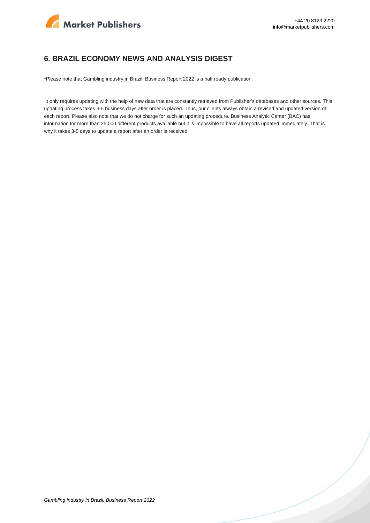

#### **6. BRAZIL ECONOMY NEWS AND ANALYSIS DIGEST**

\*Please note that Gambling industry in Brazil: Business Report 2022 is a half ready publication.

 It only requires updating with the help of new data that are constantly retrieved from Publisher's databases and other sources. This updating process takes 3-5 business days after order is placed. Thus, our clients always obtain a revised and updated version of each report. Please also note that we do not charge for such an updating procedure. Business Analytic Center (BAC) has information for more than 25,000 different products available but it is impossible to have all reports updated immediately. That is why it takes 3-5 days to update a report after an order is received.